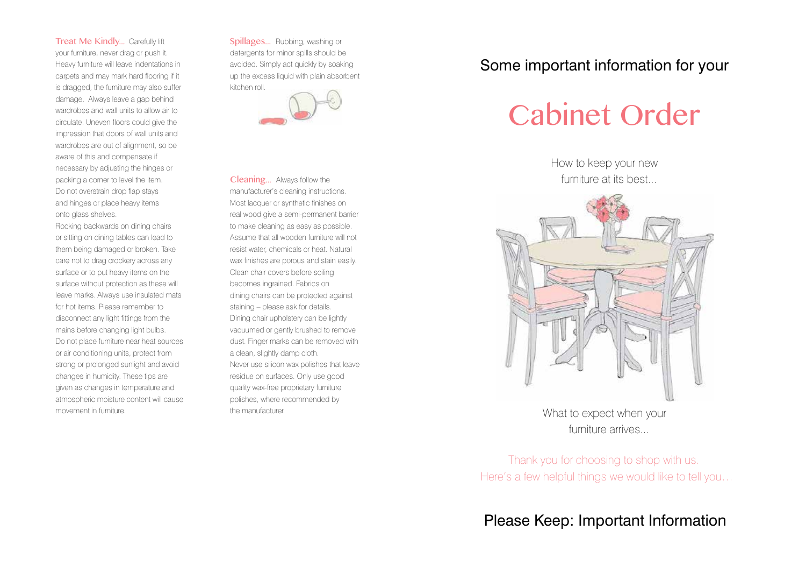Treat Me Kindly... Carefully lift your furniture, never drag or push it. Heavy furniture will leave indentations in carpets and may mark hard flooring if it is dragged, the furniture may also suffer damage. Always leave a gap behind wardrobes and wall units to allow air to circulate. Uneven floors could give the impression that doors of wall units and wardrobes are out of alignment, so be aware of this and compensate if necessary by adjusting the hinges or packing a corner to level the item. Do not overstrain drop flap stays and hinges or place heavy items onto glass shelves.

Rocking backwards on dining chairs or sitting on dining tables can lead to them being damaged or broken. Take care not to drag crockery across any surface or to put heavy items on the surface without protection as these will leave marks. Always use insulated mats for hot items. Please remember to disconnect any light fittings from the mains before changing light bulbs. Do not place furniture near heat sources or air conditioning units, protect from strong or prolonged sunlight and avoid changes in humidity. These tips are given as changes in temperature and atmospheric moisture content will cause movement in furniture.

Spillages... Rubbing, washing or detergents for minor spills should be avoided. Simply act quickly by soaking up the excess liquid with plain absorbent kitchen roll.



Cleaning... Always follow the manufacturer's cleaning instructions. Most lacquer or synthetic finishes on real wood give a semi-permanent barrier to make cleaning as easy as possible. Assume that all wooden furniture will not resist water, chemicals or heat. Natural wax finishes are porous and stain easily. Clean chair covers before soiling becomes ingrained. Fabrics on dining chairs can be protected against staining – please ask for details. Dining chair upholstery can be lightly vacuumed or gently brushed to remove dust. Finger marks can be removed with a clean, slightly damp cloth. Never use silicon wax polishes that leave residue on surfaces. Only use good quality wax-free proprietary furniture polishes, where recommended by the manufacturer.

## Some important information for your

## Cabinet Order

How to keep your new furniture at its best...



What to expect when your furniture arrives

Thank you for choosing to shop with us. Here's a few helpful things we would like to tell you…

Please Keep: Important Information